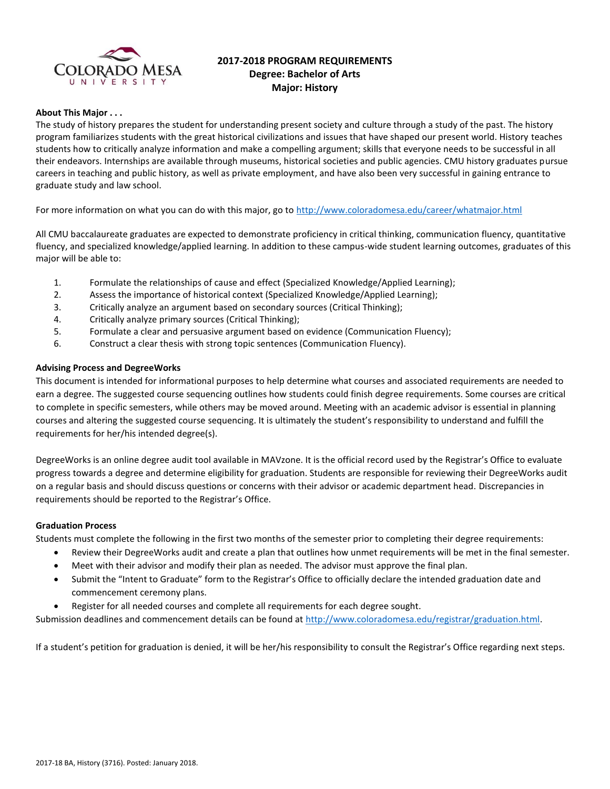

# **2017-2018 PROGRAM REQUIREMENTS Degree: Bachelor of Arts Major: History**

### **About This Major . . .**

The study of history prepares the student for understanding present society and culture through a study of the past. The history program familiarizes students with the great historical civilizations and issues that have shaped our present world. History teaches students how to critically analyze information and make a compelling argument; skills that everyone needs to be successful in all their endeavors. Internships are available through museums, historical societies and public agencies. CMU history graduates pursue careers in teaching and public history, as well as private employment, and have also been very successful in gaining entrance to graduate study and law school.

For more information on what you can do with this major, go to<http://www.coloradomesa.edu/career/whatmajor.html>

All CMU baccalaureate graduates are expected to demonstrate proficiency in critical thinking, communication fluency, quantitative fluency, and specialized knowledge/applied learning. In addition to these campus-wide student learning outcomes, graduates of this major will be able to:

- 1. Formulate the relationships of cause and effect (Specialized Knowledge/Applied Learning);
- 2. Assess the importance of historical context (Specialized Knowledge/Applied Learning);
- 3. Critically analyze an argument based on secondary sources (Critical Thinking);
- 4. Critically analyze primary sources (Critical Thinking);
- 5. Formulate a clear and persuasive argument based on evidence (Communication Fluency);
- 6. Construct a clear thesis with strong topic sentences (Communication Fluency).

### **Advising Process and DegreeWorks**

This document is intended for informational purposes to help determine what courses and associated requirements are needed to earn a degree. The suggested course sequencing outlines how students could finish degree requirements. Some courses are critical to complete in specific semesters, while others may be moved around. Meeting with an academic advisor is essential in planning courses and altering the suggested course sequencing. It is ultimately the student's responsibility to understand and fulfill the requirements for her/his intended degree(s).

DegreeWorks is an online degree audit tool available in MAVzone. It is the official record used by the Registrar's Office to evaluate progress towards a degree and determine eligibility for graduation. Students are responsible for reviewing their DegreeWorks audit on a regular basis and should discuss questions or concerns with their advisor or academic department head. Discrepancies in requirements should be reported to the Registrar's Office.

### **Graduation Process**

Students must complete the following in the first two months of the semester prior to completing their degree requirements:

- Review their DegreeWorks audit and create a plan that outlines how unmet requirements will be met in the final semester.
- Meet with their advisor and modify their plan as needed. The advisor must approve the final plan.
- Submit the "Intent to Graduate" form to the Registrar's Office to officially declare the intended graduation date and commencement ceremony plans.
- Register for all needed courses and complete all requirements for each degree sought.

Submission deadlines and commencement details can be found at [http://www.coloradomesa.edu/registrar/graduation.html.](http://www.coloradomesa.edu/registrar/graduation.html)

If a student's petition for graduation is denied, it will be her/his responsibility to consult the Registrar's Office regarding next steps.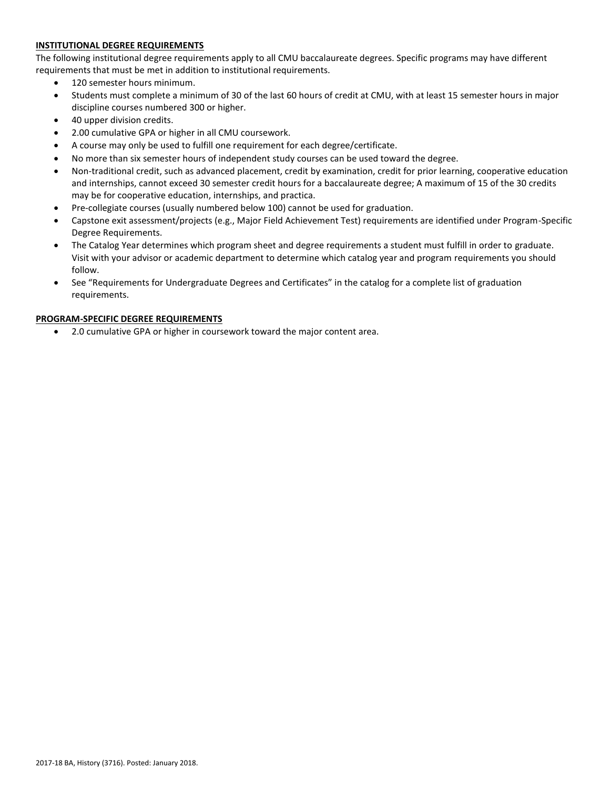# **INSTITUTIONAL DEGREE REQUIREMENTS**

The following institutional degree requirements apply to all CMU baccalaureate degrees. Specific programs may have different requirements that must be met in addition to institutional requirements.

- 120 semester hours minimum.
- Students must complete a minimum of 30 of the last 60 hours of credit at CMU, with at least 15 semester hours in major discipline courses numbered 300 or higher.
- 40 upper division credits.
- 2.00 cumulative GPA or higher in all CMU coursework.
- A course may only be used to fulfill one requirement for each degree/certificate.
- No more than six semester hours of independent study courses can be used toward the degree.
- Non-traditional credit, such as advanced placement, credit by examination, credit for prior learning, cooperative education and internships, cannot exceed 30 semester credit hours for a baccalaureate degree; A maximum of 15 of the 30 credits may be for cooperative education, internships, and practica.
- Pre-collegiate courses (usually numbered below 100) cannot be used for graduation.
- Capstone exit assessment/projects (e.g., Major Field Achievement Test) requirements are identified under Program-Specific Degree Requirements.
- The Catalog Year determines which program sheet and degree requirements a student must fulfill in order to graduate. Visit with your advisor or academic department to determine which catalog year and program requirements you should follow.
- See "Requirements for Undergraduate Degrees and Certificates" in the catalog for a complete list of graduation requirements.

### **PROGRAM-SPECIFIC DEGREE REQUIREMENTS**

2.0 cumulative GPA or higher in coursework toward the major content area.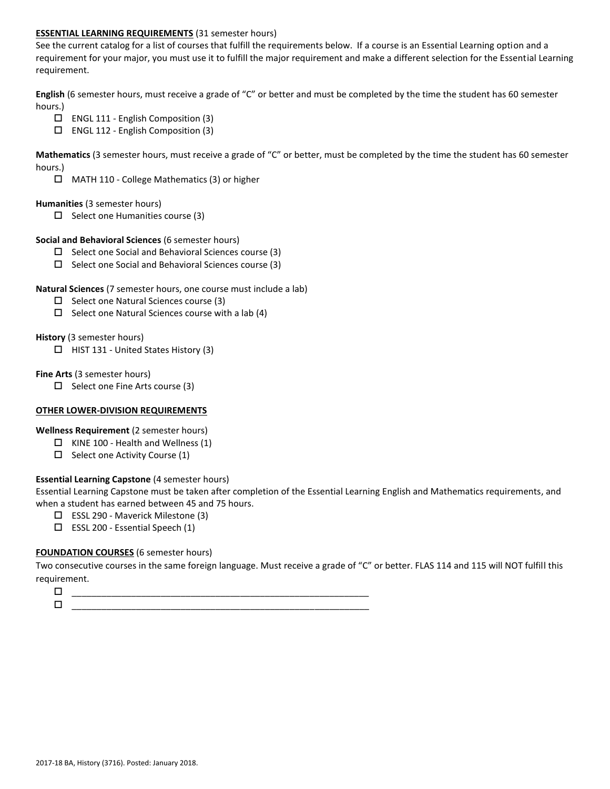# **ESSENTIAL LEARNING REQUIREMENTS** (31 semester hours)

See the current catalog for a list of courses that fulfill the requirements below. If a course is an Essential Learning option and a requirement for your major, you must use it to fulfill the major requirement and make a different selection for the Essential Learning requirement.

**English** (6 semester hours, must receive a grade of "C" or better and must be completed by the time the student has 60 semester hours.)

- ENGL 111 English Composition (3)
- ENGL 112 English Composition (3)

**Mathematics** (3 semester hours, must receive a grade of "C" or better, must be completed by the time the student has 60 semester hours.)

MATH 110 - College Mathematics (3) or higher

### **Humanities** (3 semester hours)

 $\square$  Select one Humanities course (3)

### **Social and Behavioral Sciences** (6 semester hours)

- $\Box$  Select one Social and Behavioral Sciences course (3)
- $\Box$  Select one Social and Behavioral Sciences course (3)

## **Natural Sciences** (7 semester hours, one course must include a lab)

- $\square$  Select one Natural Sciences course (3)
- $\Box$  Select one Natural Sciences course with a lab (4)

## **History** (3 semester hours)

 $\Box$  HIST 131 - United States History (3)

## **Fine Arts** (3 semester hours)

 $\Box$  Select one Fine Arts course (3)

# **OTHER LOWER-DIVISION REQUIREMENTS**

**Wellness Requirement** (2 semester hours)

- $\Box$  KINE 100 Health and Wellness (1)
- $\Box$  Select one Activity Course (1)

# **Essential Learning Capstone** (4 semester hours)

Essential Learning Capstone must be taken after completion of the Essential Learning English and Mathematics requirements, and when a student has earned between 45 and 75 hours.

- ESSL 290 Maverick Milestone (3)
- $\square$  ESSL 200 Essential Speech (1)

# **FOUNDATION COURSES** (6 semester hours)

Two consecutive courses in the same foreign language. Must receive a grade of "C" or better. FLAS 114 and 115 will NOT fulfill this requirement.

 $\Box$   $\underline{\hspace{1cm}}$   $\underline{\hspace{1cm}}$   $\underline{\hspace{1cm}}$   $\underline{\hspace{1cm}}$   $\overline{\hspace{1cm}}$   $\overline{\hspace{1cm}}$   $\overline{\hspace{1cm}}$   $\overline{\hspace{1cm}}$   $\overline{\hspace{1cm}}$   $\overline{\hspace{1cm}}$   $\overline{\hspace{1cm}}$   $\overline{\hspace{1cm}}$   $\overline{\hspace{1cm}}$   $\overline{\hspace{1cm}}$   $\overline{\hspace{1cm}}$   $\overline{\hspace{1cm}}$   $\overline{\hspace{1$ \_\_\_\_\_\_\_\_\_\_\_\_\_\_\_\_\_\_\_\_\_\_\_\_\_\_\_\_\_\_\_\_\_\_\_\_\_\_\_\_\_\_\_\_\_\_\_\_\_\_\_\_\_\_\_\_\_\_\_\_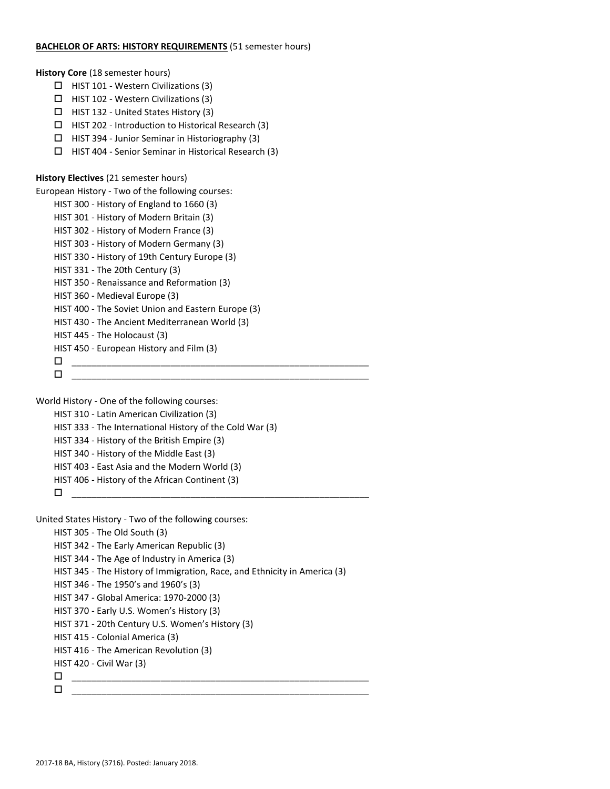### **BACHELOR OF ARTS: HISTORY REQUIREMENTS** (51 semester hours)

**History Core** (18 semester hours)

- $\Box$  HIST 101 Western Civilizations (3)
- $\Box$  HIST 102 Western Civilizations (3)
- $\Box$  HIST 132 United States History (3)
- $\Box$  HIST 202 Introduction to Historical Research (3)
- $\Box$  HIST 394 Junior Seminar in Historiography (3)
- $\Box$  HIST 404 Senior Seminar in Historical Research (3)

# **History Electives** (21 semester hours)

European History - Two of the following courses:

- HIST 300 History of England to 1660 (3)
- HIST 301 History of Modern Britain (3)
- HIST 302 History of Modern France (3)
- HIST 303 History of Modern Germany (3)
- HIST 330 History of 19th Century Europe (3)
- HIST 331 The 20th Century (3)
- HIST 350 Renaissance and Reformation (3)
- HIST 360 Medieval Europe (3)
- HIST 400 The Soviet Union and Eastern Europe (3)
- HIST 430 The Ancient Mediterranean World (3)
- HIST 445 The Holocaust (3)
- HIST 450 European History and Film (3)
- \_\_\_\_\_\_\_\_\_\_\_\_\_\_\_\_\_\_\_\_\_\_\_\_\_\_\_\_\_\_\_\_\_\_\_\_\_\_\_\_\_\_\_\_\_\_\_\_\_\_\_\_\_\_\_\_\_\_\_\_ \_\_\_\_\_\_\_\_\_\_\_\_\_\_\_\_\_\_\_\_\_\_\_\_\_\_\_\_\_\_\_\_\_\_\_\_\_\_\_\_\_\_\_\_\_\_\_\_\_\_\_\_\_\_\_\_\_\_\_\_

World History - One of the following courses:

HIST 310 - Latin American Civilization (3)

HIST 333 - The International History of the Cold War (3)

- HIST 334 History of the British Empire (3)
- HIST 340 History of the Middle East (3)
- HIST 403 East Asia and the Modern World (3)
- HIST 406 History of the African Continent (3)
- \_\_\_\_\_\_\_\_\_\_\_\_\_\_\_\_\_\_\_\_\_\_\_\_\_\_\_\_\_\_\_\_\_\_\_\_\_\_\_\_\_\_\_\_\_\_\_\_\_\_\_\_\_\_\_\_\_\_\_\_

United States History - Two of the following courses:

```
HIST 305 - The Old South (3)
```

```
HIST 342 - The Early American Republic (3)
```

```
HIST 344 - The Age of Industry in America (3)
```

```
HIST 345 - The History of Immigration, Race, and Ethnicity in America (3)
```

```
HIST 346 - The 1950's and 1960's (3)
```

```
HIST 347 - Global America: 1970-2000 (3)
```

```
HIST 370 - Early U.S. Women's History (3)
```

```
HIST 371 - 20th Century U.S. Women's History (3)
```

```
HIST 415 - Colonial America (3)
```

```
HIST 416 - The American Revolution (3)
```

```
HIST 420 - Civil War (3)
```
\_\_\_\_\_\_\_\_\_\_\_\_\_\_\_\_\_\_\_\_\_\_\_\_\_\_\_\_\_\_\_\_\_\_\_\_\_\_\_\_\_\_\_\_\_\_\_\_\_\_\_\_\_\_\_\_\_\_\_\_

```
 ____________________________________________________________
```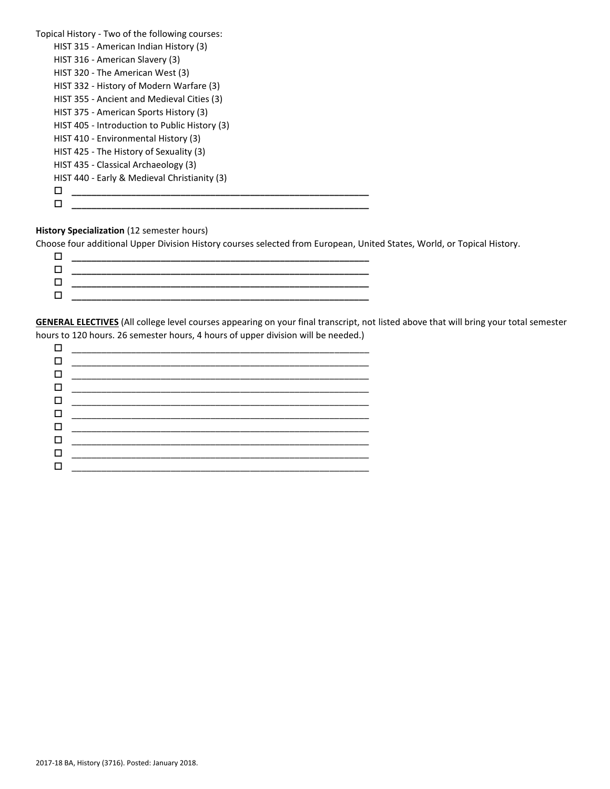| Topical History - Two of the following courses: |  |
|-------------------------------------------------|--|
| HIST 315 - American Indian History (3)          |  |
| HIST 316 - American Slavery (3)                 |  |
| HIST 320 - The American West (3)                |  |
| HIST 332 - History of Modern Warfare (3)        |  |
| HIST 355 - Ancient and Medieval Cities (3)      |  |
| HIST 375 - American Sports History (3)          |  |
| HIST 405 - Introduction to Public History (3)   |  |
| HIST 410 - Environmental History (3)            |  |
| HIST 425 - The History of Sexuality (3)         |  |
| HIST 435 - Classical Archaeology (3)            |  |
| HIST 440 - Early & Medieval Christianity (3)    |  |
| H                                               |  |
|                                                 |  |
|                                                 |  |

# **History Specialization** (12 semester hours)

Choose four additional Upper Division History courses selected from European, United States, World, or Topical History.

| г | _______________________                                                         |
|---|---------------------------------------------------------------------------------|
| п | the contract of the contract of the contract of the contract of the contract of |
| п |                                                                                 |
| п |                                                                                 |
|   |                                                                                 |

**GENERAL ELECTIVES** (All college level courses appearing on your final transcript, not listed above that will bring your total semester hours to 120 hours. 26 semester hours, 4 hours of upper division will be needed.)

| $\Box$ |  |
|--------|--|
|        |  |
|        |  |
|        |  |
|        |  |
|        |  |
| $\Box$ |  |
|        |  |
|        |  |
|        |  |